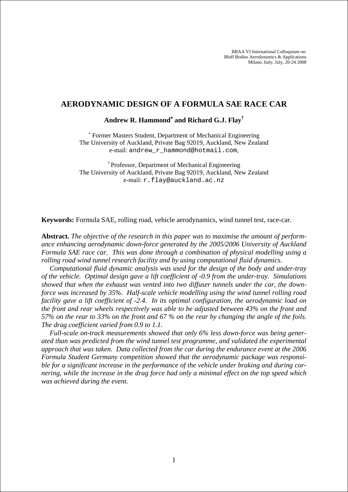BBAA VI International Colloquium on: Bluff Bodies Aerodynamics & Applications Milano, Italy, July, 20-24 2008

#### **AERODYNAMIC DESIGN OF A FORMULA SAE RACE CAR**

# **Andrew R. Hammond**<sup>∗</sup>  **and Richard G.J. Flay†**

∗ Former Masters Student, Department of Mechanical Engineering The University of Auckland, Private Bag 92019, Auckland, New Zealand e-mail: andrew\_r\_hammond@hotmail.com,

† Professor, Department of Mechanical Engineering The University of Auckland, Private Bag 92019, Auckland, New Zealand e-mail: r.flay@auckland.ac.nz

**Keywords:** Formula SAE, rolling road, vehicle aerodynamics, wind tunnel test, race-car.

**Abstract.** *The objective of the research in this paper was to maximise the amount of performance enhancing aerodynamic down-force generated by the 2005/2006 University of Auckland Formula SAE race car. This was done through a combination of physical modelling using a rolling road wind tunnel research facility and by using computational fluid dynamics.* 

*Computational fluid dynamic analysis was used for the design of the body and under-tray of the vehicle. Optimal design gave a lift coefficient of -0.9 from the under-tray. Simulations showed that when the exhaust was vented into two diffuser tunnels under the car, the downforce was increased by 35%. Half-scale vehicle modelling using the wind tunnel rolling road facility gave a lift coefficient of -2.4. In its optimal configuration, the aerodynamic load on the front and rear wheels respectively was able to be adjusted between 43% on the front and 57% on the rear to 33% on the front and 67 % on the rear by changing the angle of the foils. The drag coefficient varied from 0.9 to 1.1.* 

*Full-scale on-track measurements showed that only 6% less down-force was being generated than was predicted from the wind tunnel test programme, and validated the experimental approach that was taken. Data collected from the car during the endurance event at the 2006 Formula Student Germany competition showed that the aerodynamic package was responsible for a significant increase in the performance of the vehicle under braking and during cornering, while the increase in the drag force had only a minimal effect on the top speed which was achieved during the event.*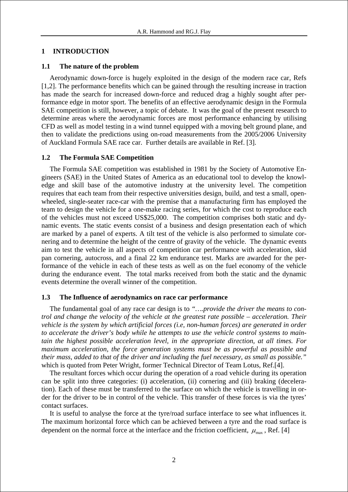# **1 INTRODUCTION**

### **1.1 The nature of the problem**

Aerodynamic down-force is hugely exploited in the design of the modern race car, Refs [1,2]. The performance benefits which can be gained through the resulting increase in traction has made the search for increased down-force and reduced drag a highly sought after performance edge in motor sport. The benefits of an effective aerodynamic design in the Formula SAE competition is still, however, a topic of debate. It was the goal of the present research to determine areas where the aerodynamic forces are most performance enhancing by utilising CFD as well as model testing in a wind tunnel equipped with a moving belt ground plane, and then to validate the predictions using on-road measurements from the 2005/2006 University of Auckland Formula SAE race car. Further details are available in Ref. [\[3\].](#page-15-0)

#### **1.2 The Formula SAE Competition**

The Formula SAE competition was established in 1981 by the Society of Automotive Engineers (SAE) in the United States of America as an educational tool to develop the knowledge and skill base of the automotive industry at the university level. The competition requires that each team from their respective universities design, build, and test a small, openwheeled, single-seater race-car with the premise that a manufacturing firm has employed the team to design the vehicle for a one-make racing series, for which the cost to reproduce each of the vehicles must not exceed US\$25,000. The competition comprises both static and dynamic events. The static events consist of a business and design presentation each of which are marked by a panel of experts. A tilt test of the vehicle is also performed to simulate cornering and to determine the height of the centre of gravity of the vehicle. The dynamic events aim to test the vehicle in all aspects of competition car performance with acceleration, skid pan cornering, autocross, and a final 22 km endurance test. Marks are awarded for the performance of the vehicle in each of these tests as well as on the fuel economy of the vehicle during the endurance event. The total marks received from both the static and the dynamic events determine the overall winner of the competition.

# **1.3 The Influence of aerodynamics on race car performance**

The fundamental goal of any race car design is to *"….provide the driver the means to control and change the velocity of the vehicle at the greatest rate possible – acceleration. Their vehicle is the system by which artificial forces (i.e, non-human forces) are generated in order to accelerate the driver's body while he attempts to use the vehicle control systems to maintain the highest possible acceleration level, in the appropriate direction, at all times. For maximum acceleration, the force generation systems must be as powerful as possible and their mass, added to that of the driver and including the fuel necessary, as small as possible."* which is quoted from Peter Wright, former Technical Director of Team Lotus, Ref.[4].

The resultant forces which occur during the operation of a road vehicle during its operation can be split into three categories: (i) acceleration, (ii) cornering and (iii) braking (deceleration). Each of these must be transferred to the surface on which the vehicle is travelling in order for the driver to be in control of the vehicle. This transfer of these forces is via the tyres' contact surfaces.

It is useful to analyse the force at the tyre/road surface interface to see what influences it. The maximum horizontal force which can be achieved between a tyre and the road surface is dependent on the normal force at the interface and the friction coefficient,  $\mu_{\text{max}}$ , Ref. [4]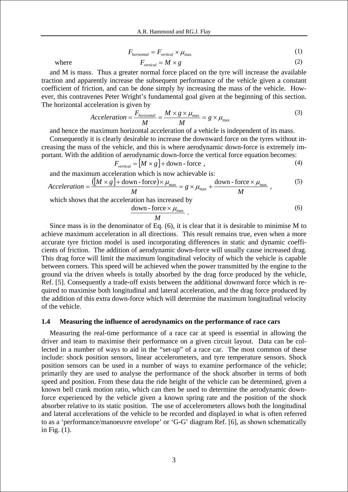$F_{horizontal} = F_{vertical} \times \mu_{max}$  (1)

where 
$$
F_{vertical} = M \times g
$$
 (2)

The horizontal acceleration is given by

and M is mass. Thus a greater normal force placed on the tyre will increase the available traction and apparently increase the subsequent performance of the vehicle given a constant coefficient of friction, and can be done simply by increasing the mass of the vehicle. However, this contravenes Peter Wright's fundamental goal given at the beginning of this section.

$$
Acceleration = \frac{F_{horizontal}}{M} = \frac{M \times g \times \mu_{max}}{M} = g \times \mu_{max}
$$
(3)

and hence the maximum horizontal acceleration of a vehicle is independent of its mass.

Consequently it is clearly desirable to increase the downward force on the tyres without increasing the mass of the vehicle, and this is where aerodynamic down-force is extremely important. With the addition of aerodynamic down-force the vertical force equation becomes:

$$
F_{vertical} = [M \times g] + \text{down-force} , \qquad (4)
$$

and the maximum acceleration which is now achievable is:

$$
Acceleration = \frac{([M \times g] + \text{down-force}) \times \mu_{\text{max}}}{M} = g \times \mu_{\text{max}} + \frac{\text{down-force} \times \mu_{\text{max}}}{M}, \tag{5}
$$

which shows that the acceleration has increased by

$$
\frac{\text{down-force} \times \mu_{\text{max}}}{M} \, . \tag{6}
$$

Since mass is in the denominator of Eq. (6), it is clear that it is desirable to minimise M to achieve maximum acceleration in all directions. This result remains true, even when a more accurate tyre friction model is used incorporating differences in static and dynamic coefficients of friction. The addition of aerodynamic down-force will usually cause increased drag. This drag force will limit the maximum longitudinal velocity of which the vehicle is capable between corners. This speed will be achieved when the power transmitted by the engine to the ground via the driven wheels is totally absorbed by the drag force produced by the vehicle, Ref. [5]. Consequently a trade-off exists between the additional downward force which is required to maximise both longitudinal and lateral acceleration, and the drag force produced by the addition of this extra down-force which will determine the maximum longitudinal velocity of the vehicle.

#### **1.4 Measuring the influence of aerodynamics on the performance of race cars**

Measuring the real-time performance of a race car at speed is essential in allowing the driver and team to maximise their performance on a given circuit layout. Data can be collected in a number of ways to aid in the "set-up" of a race car. The most common of these include: shock position sensors, linear accelerometers, and tyre temperature sensors. Shock position sensors can be used in a number of ways to examine performance of the vehicle; primarily they are used to analyse the performance of the shock absorber in terms of both speed and position. From these data the ride height of the vehicle can be determined, given a known bell crank motion ratio, which can then be used to determine the aerodynamic downforce experienced by the vehicle given a known spring rate and the position of the shock absorber relative to its static position. The use of accelerometers allows both the longitudinal and lateral accelerations of the vehicle to be recorded and displayed in what is often referred to as a 'performance/manoeuvre envelope' or 'G-G' diagram Ref. [6], as shown schematically in Fig. (1).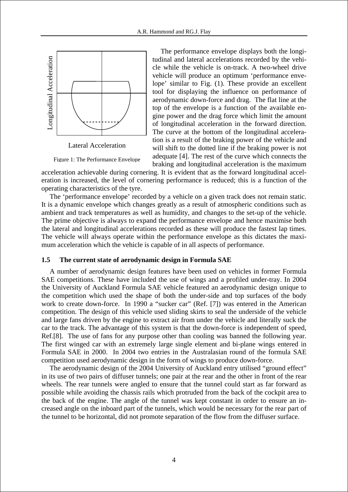

Lateral Acceleration

Figure 1: The Performance Envelope

The performance envelope displays both the longitudinal and lateral accelerations recorded by the vehicle while the vehicle is on-track. A two-wheel drive vehicle will produce an optimum 'performance envelope' similar to Fig. (1). These provide an excellent tool for displaying the influence on performance of aerodynamic down-force and drag. The flat line at the top of the envelope is a function of the available engine power and the drag force which limit the amount of longitudinal acceleration in the forward direction. The curve at the bottom of the longitudinal acceleration is a result of the braking power of the vehicle and will shift to the dotted line if the braking power is not adequate [4]. The rest of the curve which connects the braking and longitudinal acceleration is the maximum

acceleration achievable during cornering. It is evident that as the forward longitudinal acceleration is increased, the level of cornering performance is reduced; this is a function of the operating characteristics of the tyre.

The 'performance envelope' recorded by a vehicle on a given track does not remain static. It is a dynamic envelope which changes greatly as a result of atmospheric conditions such as ambient and track temperatures as well as humidity, and changes to the set-up of the vehicle. The prime objective is always to expand the performance envelope and hence maximise both the lateral and longitudinal accelerations recorded as these will produce the fastest lap times. The vehicle will always operate within the performance envelope as this dictates the maximum acceleration which the vehicle is capable of in all aspects of performance.

#### **1.5 The current state of aerodynamic design in Formula SAE**

A number of aerodynamic design features have been used on vehicles in former Formula SAE competitions. These have included the use of wings and a profiled under-tray. In 2004 the University of Auckland Formula SAE vehicle featured an aerodynamic design unique to the competition which used the shape of both the under-side and top surfaces of the body work to create down-force. In 1990 a "sucker car" (Ref. [7]) was entered in the American competition. The design of this vehicle used sliding skirts to seal the underside of the vehicle and large fans driven by the engine to extract air from under the vehicle and literally suck the car to the track. The advantage of this system is that the down-force is independent of speed, Ref.[8]. The use of fans for any purpose other than cooling was banned the following year. The first winged car with an extremely large single element and bi-plane wings entered in Formula SAE in 2000. In 2004 two entries in the Australasian round of the formula SAE competition used aerodynamic design in the form of wings to produce down-force.

The aerodynamic design of the 2004 University of Auckland entry utilised "ground effect" in its use of two pairs of diffuser tunnels; one pair at the rear and the other in front of the rear wheels. The rear tunnels were angled to ensure that the tunnel could start as far forward as possible while avoiding the chassis rails which protruded from the back of the cockpit area to the back of the engine. The angle of the tunnel was kept constant in order to ensure an increased angle on the inboard part of the tunnels, which would be necessary for the rear part of the tunnel to be horizontal, did not promote separation of the flow from the diffuser surface.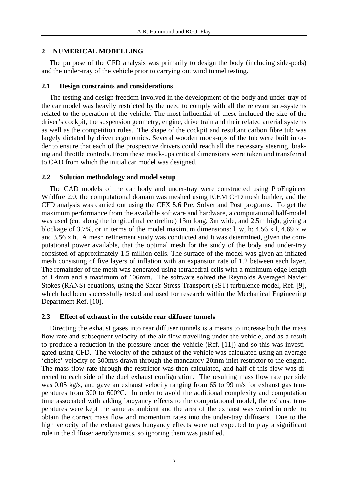# **2 NUMERICAL MODELLING**

The purpose of the CFD analysis was primarily to design the body (including side-pods) and the under-tray of the vehicle prior to carrying out wind tunnel testing.

# **2.1 Design constraints and considerations**

The testing and design freedom involved in the development of the body and under-tray of the car model was heavily restricted by the need to comply with all the relevant sub-systems related to the operation of the vehicle. The most influential of these included the size of the driver's cockpit, the suspension geometry, engine, drive train and their related arterial systems as well as the competition rules. The shape of the cockpit and resultant carbon fibre tub was largely dictated by driver ergonomics. Several wooden mock-ups of the tub were built in order to ensure that each of the prospective drivers could reach all the necessary steering, braking and throttle controls. From these mock-ups critical dimensions were taken and transferred to CAD from which the initial car model was designed.

# **2.2 Solution methodology and model setup**

The CAD models of the car body and under-tray were constructed using ProEngineer Wildfire 2.0, the computational domain was meshed using ICEM CFD mesh builder, and the CFD analysis was carried out using the CFX 5.6 Pre, Solver and Post programs. To get the maximum performance from the available software and hardware, a computational half-model was used (cut along the longitudinal centreline) 13m long, 3m wide, and 2.5m high, giving a blockage of 3.7%, or in terms of the model maximum dimensions: l, w, h: 4.56 x l, 4.69 x w and 3.56 x h. A mesh refinement study was conducted and it was determined, given the computational power available, that the optimal mesh for the study of the body and under-tray consisted of approximately 1.5 million cells. The surface of the model was given an inflated mesh consisting of five layers of inflation with an expansion rate of 1.2 between each layer. The remainder of the mesh was generated using tetrahedral cells with a minimum edge length of 1.4mm and a maximum of 106mm. The software solved the Reynolds Averaged Navier Stokes (RANS) equations, using the Shear-Stress-Transport (SST) turbulence model, Ref. [9], which had been successfully tested and used for research within the Mechanical Engineering Department Ref. [10].

# **2.3 Effect of exhaust in the outside rear diffuser tunnels**

Directing the exhaust gases into rear diffuser tunnels is a means to increase both the mass flow rate and subsequent velocity of the air flow travelling under the vehicle, and as a result to produce a reduction in the pressure under the vehicle (Ref. [11]) and so this was investigated using CFD. The velocity of the exhaust of the vehicle was calculated using an average 'choke' velocity of 300m/s drawn through the mandatory 20mm inlet restrictor to the engine. The mass flow rate through the restrictor was then calculated, and half of this flow was directed to each side of the duel exhaust configuration. The resulting mass flow rate per side was 0.05 kg/s, and gave an exhaust velocity ranging from 65 to 99 m/s for exhaust gas temperatures from 300 to 600°C. In order to avoid the additional complexity and computation time associated with adding buoyancy effects to the computational model, the exhaust temperatures were kept the same as ambient and the area of the exhaust was varied in order to obtain the correct mass flow and momentum rates into the under-tray diffusers. Due to the high velocity of the exhaust gases buoyancy effects were not expected to play a significant role in the diffuser aerodynamics, so ignoring them was justified.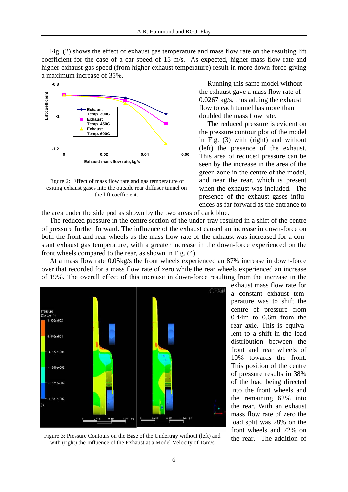Fig. (2) shows the effect of exhaust gas temperature and mass flow rate on the resulting lift coefficient for the case of a car speed of 15 m/s. As expected, higher mass flow rate and higher exhaust gas speed (from higher exhaust temperature) result in more down-force giving a maximum increase of 35%.



Figure 2: Effect of mass flow rate and gas temperature of exiting exhaust gases into the outside rear diffuser tunnel on the lift coefficient.

Running this same model without the exhaust gave a mass flow rate of 0.0267 kg/s, thus adding the exhaust flow to each tunnel has more than doubled the mass flow rate.

The reduced pressure is evident on the pressure contour plot of the model in Fig. (3) with (right) and without (left) the presence of the exhaust. This area of reduced pressure can be seen by the increase in the area of the green zone in the centre of the model, and near the rear, which is present when the exhaust was included. The presence of the exhaust gases influences as far forward as the entrance to

the area under the side pod as shown by the two areas of dark blue.

The reduced pressure in the centre section of the under-tray resulted in a shift of the centre of pressure further forward. The influence of the exhaust caused an increase in down-force on both the front and rear wheels as the mass flow rate of the exhaust was increased for a constant exhaust gas temperature, with a greater increase in the down-force experienced on the front wheels compared to the rear, as shown in Fig. (4).

At a mass flow rate 0.05kg/s the front wheels experienced an 87% increase in down-force over that recorded for a mass flow rate of zero while the rear wheels experienced an increase of 19%. The overall effect of this increase in down-force resulting from the increase in the



Figure 3: Pressure Contours on the Base of the Undertray without (left) and with (right) the Influence of the Exhaust at a Model Velocity of 15m/s

exhaust mass flow rate for a constant exhaust temperature was to shift the centre of pressure from 0.44m to 0.6m from the rear axle. This is equivalent to a shift in the load distribution between the front and rear wheels of 10% towards the front. This position of the centre of pressure results in 38% of the load being directed into the front wheels and the remaining 62% into the rear. With an exhaust mass flow rate of zero the load split was 28% on the front wheels and 72% on the rear. The addition of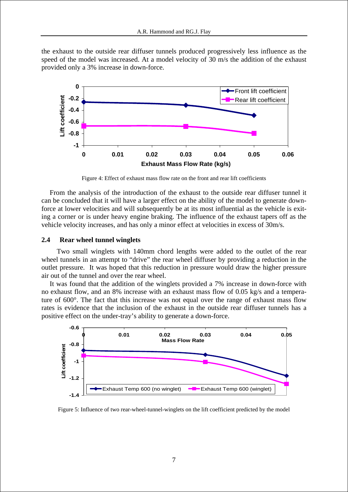the exhaust to the outside rear diffuser tunnels produced progressively less influence as the speed of the model was increased. At a model velocity of 30 m/s the addition of the exhaust provided only a 3% increase in down-force.



Figure 4: Effect of exhaust mass flow rate on the front and rear lift coefficients

From the analysis of the introduction of the exhaust to the outside rear diffuser tunnel it can be concluded that it will have a larger effect on the ability of the model to generate downforce at lower velocities and will subsequently be at its most influential as the vehicle is exiting a corner or is under heavy engine braking. The influence of the exhaust tapers off as the vehicle velocity increases, and has only a minor effect at velocities in excess of 30m/s.

#### **2.4 Rear wheel tunnel winglets**

 Two small winglets with 140mm chord lengths were added to the outlet of the rear wheel tunnels in an attempt to "drive" the rear wheel diffuser by providing a reduction in the outlet pressure. It was hoped that this reduction in pressure would draw the higher pressure air out of the tunnel and over the rear wheel.

It was found that the addition of the winglets provided a 7% increase in down-force with no exhaust flow, and an 8% increase with an exhaust mass flow of 0.05 kg/s and a temperature of 600°. The fact that this increase was not equal over the range of exhaust mass flow rates is evidence that the inclusion of the exhaust in the outside rear diffuser tunnels has a positive effect on the under-tray's ability to generate a down-force.



Figure 5: Influence of two rear-wheel-tunnel-winglets on the lift coefficient predicted by the model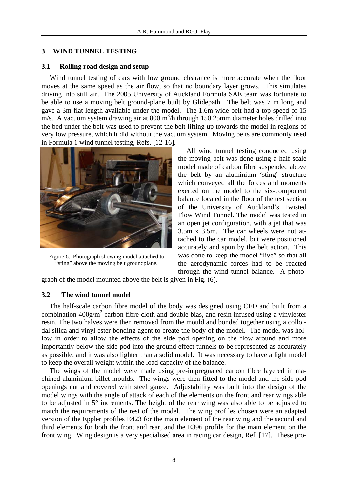# **3 WIND TUNNEL TESTING**

### **3.1 Rolling road design and setup**

Wind tunnel testing of cars with low ground clearance is more accurate when the floor moves at the same speed as the air flow, so that no boundary layer grows. This simulates driving into still air. The 2005 University of Auckland Formula SAE team was fortunate to be able to use a moving belt ground-plane built by Glidepath. The belt was 7 m long and gave a 3m flat length available under the model. The 1.6m wide belt had a top speed of 15  $m/s$ . A vacuum system drawing air at 800 m<sup>3</sup>/h through 150 25mm diameter holes drilled into the bed under the belt was used to prevent the belt lifting up towards the model in regions of very low pressure, which it did without the vacuum system. Moving belts are commonly used in Formula 1 wind tunnel testing, Refs. [12-16].



Figure 6: Photograph showing model attached to "sting" above the moving belt groundplane.

All wind tunnel testing conducted using the moving belt was done using a half-scale model made of carbon fibre suspended above the belt by an aluminium 'sting' structure which conveyed all the forces and moments exerted on the model to the six-component balance located in the floor of the test section of the University of Auckland's Twisted Flow Wind Tunnel. The model was tested in an open jet configuration, with a jet that was 3.5m x 3.5m. The car wheels were not attached to the car model, but were positioned accurately and spun by the belt action. This was done to keep the model "live" so that all the aerodynamic forces had to be reacted through the wind tunnel balance. A photo-

graph of the model mounted above the belt is given in Fig. (6).

# **3.2 The wind tunnel model**

The half-scale carbon fibre model of the body was designed using CFD and built from a combination  $400g/m^2$  carbon fibre cloth and double bias, and resin infused using a vinylester resin. The two halves were then removed from the mould and bonded together using a colloidal silica and vinyl ester bonding agent to create the body of the model. The model was hollow in order to allow the effects of the side pod opening on the flow around and more importantly below the side pod into the ground effect tunnels to be represented as accurately as possible, and it was also lighter than a solid model. It was necessary to have a light model to keep the overall weight within the load capacity of the balance.

The wings of the model were made using pre-impregnated carbon fibre layered in machined aluminium billet moulds. The wings were then fitted to the model and the side pod openings cut and covered with steel gauze. Adjustability was built into the design of the model wings with the angle of attack of each of the elements on the front and rear wings able to be adjusted in 5° increments. The height of the rear wing was also able to be adjusted to match the requirements of the rest of the model. The wing profiles chosen were an adapted version of the Eppler profiles E423 for the main element of the rear wing and the second and third elements for both the front and rear, and the E396 profile for the main element on the front wing. Wing design is a very specialised area in racing car design, Ref. [17]. These pro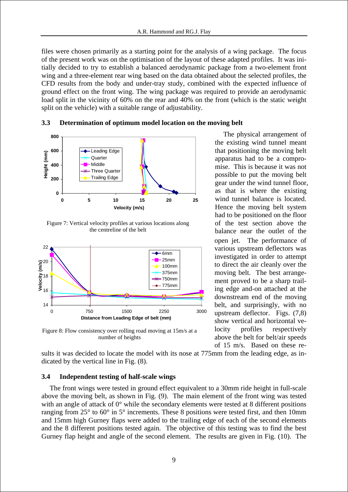files were chosen primarily as a starting point for the analysis of a wing package. The focus of the present work was on the optimisation of the layout of these adapted profiles. It was initially decided to try to establish a balanced aerodynamic package from a two-element front wing and a three-element rear wing based on the data obtained about the selected profiles, the CFD results from the body and under-tray study, combined with the expected influence of ground effect on the front wing. The wing package was required to provide an aerodynamic load split in the vicinity of 60% on the rear and 40% on the front (which is the static weight split on the vehicle) with a suitable range of adjustability.

#### **3.3 Determination of optimum model location on the moving belt**



Figure 7: Vertical velocity profiles at various locations along the centreline of the belt



Figure 8: Flow consistency over rolling road moving at 15m/s at a number of heights

The physical arrangement of the existing wind tunnel meant that positioning the moving belt apparatus had to be a compromise. This is because it was not possible to put the moving belt gear under the wind tunnel floor, as that is where the existing wind tunnel balance is located. Hence the moving belt system had to be positioned on the floor of the test section above the balance near the outlet of the open jet. The performance of various upstream deflectors was investigated in order to attempt to direct the air cleanly over the moving belt. The best arrangement proved to be a sharp trailing edge and-on attached at the downstream end of the moving belt, and surprisingly, with no upstream deflector. Figs. (7,8) show vertical and horizontal velocity profiles respectively above the belt for belt/air speeds of 15 m/s. Based on these re-

sults it was decided to locate the model with its nose at 775mm from the leading edge, as indicated by the vertical line in Fig. (8).

# **3.4 Independent testing of half-scale wings**

The front wings were tested in ground effect equivalent to a 30mm ride height in full-scale above the moving belt, as shown in Fig. (9). The main element of the front wing was tested with an angle of attack of 0° while the secondary elements were tested at 8 different positions ranging from 25° to 60° in 5° increments. These 8 positions were tested first, and then 10mm and 15mm high Gurney flaps were added to the trailing edge of each of the second elements and the 8 different positions tested again. The objective of this testing was to find the best Gurney flap height and angle of the second element. The results are given in Fig. (10). The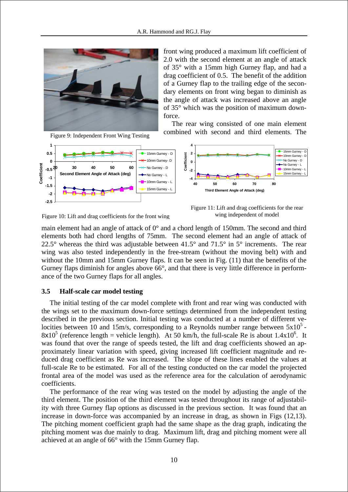

front wing produced a maximum lift coefficient of 2.0 with the second element at an angle of attack of 35° with a 15mm high Gurney flap, and had a drag coefficient of 0.5. The benefit of the addition of a Gurney flap to the trailing edge of the secondary elements on front wing began to diminish as the angle of attack was increased above an angle of 35° which was the position of maximum downforce.

The rear wing consisted of one main element combined with second and third elements. The





Figure 10: Lift and drag coefficients for the front wing

Figure 11: Lift and drag coefficients for the rear wing independent of model

main element had an angle of attack of 0° and a chord length of 150mm. The second and third elements both had chord lengths of 75mm. The second element had an angle of attack of 22.5° whereas the third was adjustable between  $41.5^{\circ}$  and  $71.5^{\circ}$  in  $5^{\circ}$  increments. The rear wing was also tested independently in the free-stream (without the moving belt) with and without the 10mm and 15mm Gurney flaps. It can be seen in Fig. (11) that the benefits of the Gurney flaps diminish for angles above 66°, and that there is very little difference in performance of the two Gurney flaps for all angles.

#### **3.5 Half-scale car model testing**

The initial testing of the car model complete with front and rear wing was conducted with the wings set to the maximum down-force settings determined from the independent testing described in the previous section. Initial testing was conducted at a number of different velocities between 10 and 15m/s, corresponding to a Reynolds number range between  $5x10<sup>5</sup>$ .  $8x10^5$  (reference length = vehicle length). At 50 km/h, the full-scale Re is about  $1.4x10^6$ . It was found that over the range of speeds tested, the lift and drag coefficients showed an approximately linear variation with speed, giving increased lift coefficient magnitude and reduced drag coefficient as Re was increased. The slope of these lines enabled the values at full-scale Re to be estimated. For all of the testing conducted on the car model the projected frontal area of the model was used as the reference area for the calculation of aerodynamic coefficients.

The performance of the rear wing was tested on the model by adjusting the angle of the third element. The position of the third element was tested throughout its range of adjustability with three Gurney flap options as discussed in the previous section. It was found that an increase in down-force was accompanied by an increase in drag, as shown in Figs (12,13). The pitching moment coefficient graph had the same shape as the drag graph, indicating the pitching moment was due mainly to drag. Maximum lift, drag and pitching moment were all achieved at an angle of 66° with the 15mm Gurney flap.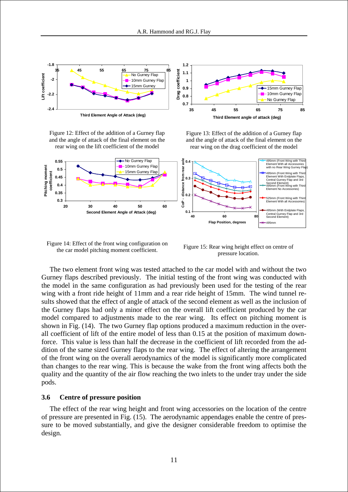

Figure 12: Effect of the addition of a Gurney flap and the angle of attack of the final element on the rear wing on the lift coefficient of the model

Figure 13: Effect of the addition of a Gurney flap and the angle of attack of the final element on the rear wing on the drag coefficient of the model



Figure 14: Effect of the front wing configuration on the car model pitching moment coefficient.

Figure 15: Rear wing height effect on centre of pressure location.

The two element front wing was tested attached to the car model with and without the two Gurney flaps described previously. The initial testing of the front wing was conducted with the model in the same configuration as had previously been used for the testing of the rear wing with a front ride height of 11mm and a rear ride height of 15mm. The wind tunnel results showed that the effect of angle of attack of the second element as well as the inclusion of the Gurney flaps had only a minor effect on the overall lift coefficient produced by the car model compared to adjustments made to the rear wing. Its effect on pitching moment is shown in Fig. (14). The two Gurney flap options produced a maximum reduction in the overall coefficient of lift of the entire model of less than 0.15 at the position of maximum downforce. This value is less than half the decrease in the coefficient of lift recorded from the addition of the same sized Gurney flaps to the rear wing. The effect of altering the arrangement of the front wing on the overall aerodynamics of the model is significantly more complicated than changes to the rear wing. This is because the wake from the front wing affects both the quality and the quantity of the air flow reaching the two inlets to the under tray under the side pods.

#### **3.6 Centre of pressure position**

The effect of the rear wing height and front wing accessories on the location of the centre of pressure are presented in Fig. (15). The aerodynamic appendages enable the centre of pressure to be moved substantially, and give the designer considerable freedom to optimise the design.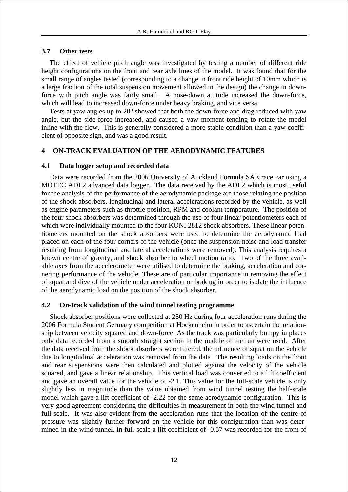# **3.7 Other tests**

The effect of vehicle pitch angle was investigated by testing a number of different ride height configurations on the front and rear axle lines of the model. It was found that for the small range of angles tested (corresponding to a change in front ride height of 10mm which is a large fraction of the total suspension movement allowed in the design) the change in downforce with pitch angle was fairly small. A nose-down attitude increased the down-force, which will lead to increased down-force under heavy braking, and vice versa.

Tests at yaw angles up to 20° showed that both the down-force and drag reduced with yaw angle, but the side-force increased, and caused a yaw moment tending to rotate the model inline with the flow. This is generally considered a more stable condition than a yaw coefficient of opposite sign, and was a good result.

# **4 ON-TRACK EVALUATION OF THE AERODYNAMIC FEATURES**

#### **4.1 Data logger setup and recorded data**

Data were recorded from the 2006 University of Auckland Formula SAE race car using a MOTEC ADL2 advanced data logger. The data received by the ADL2 which is most useful for the analysis of the performance of the aerodynamic package are those relating the position of the shock absorbers, longitudinal and lateral accelerations recorded by the vehicle, as well as engine parameters such as throttle position, RPM and coolant temperature. The position of the four shock absorbers was determined through the use of four linear potentiometers each of which were individually mounted to the four KONI 2812 shock absorbers. These linear potentiometers mounted on the shock absorbers were used to determine the aerodynamic load placed on each of the four corners of the vehicle (once the suspension noise and load transfer resulting from longitudinal and lateral accelerations were removed). This analysis requires a known centre of gravity, and shock absorber to wheel motion ratio. Two of the three available axes from the accelerometer were utilised to determine the braking, acceleration and cornering performance of the vehicle. These are of particular importance in removing the effect of squat and dive of the vehicle under acceleration or braking in order to isolate the influence of the aerodynamic load on the position of the shock absorber.

#### **4.2 On-track validation of the wind tunnel testing programme**

Shock absorber positions were collected at 250 Hz during four acceleration runs during the 2006 Formula Student Germany competition at Hockenheim in order to ascertain the relationship between velocity squared and down-force. As the track was particularly bumpy in places only data recorded from a smooth straight section in the middle of the run were used. After the data received from the shock absorbers were filtered, the influence of squat on the vehicle due to longitudinal acceleration was removed from the data. The resulting loads on the front and rear suspensions were then calculated and plotted against the velocity of the vehicle squared, and gave a linear relationship. This vertical load was converted to a lift coefficient and gave an overall value for the vehicle of -2.1. This value for the full-scale vehicle is only slightly less in magnitude than the value obtained from wind tunnel testing the half-scale model which gave a lift coefficient of -2.22 for the same aerodynamic configuration. This is very good agreement considering the difficulties in measurement in both the wind tunnel and full-scale. It was also evident from the acceleration runs that the location of the centre of pressure was slightly further forward on the vehicle for this configuration than was determined in the wind tunnel. In full-scale a lift coefficient of -0.57 was recorded for the front of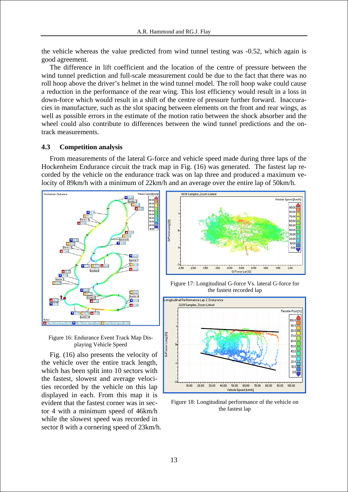the vehicle whereas the value predicted from wind tunnel testing was -0.52, which again is good agreement.

The difference in lift coefficient and the location of the centre of pressure between the wind tunnel prediction and full-scale measurement could be due to the fact that there was no roll hoop above the driver's helmet in the wind tunnel model. The roll hoop wake could cause a reduction in the performance of the rear wing. This lost efficiency would result in a loss in down-force which would result in a shift of the centre of pressure further forward. Inaccuracies in manufacture, such as the slot spacing between elements on the front and rear wings, as well as possible errors in the estimate of the motion ratio between the shock absorber and the wheel could also contribute to differences between the wind tunnel predictions and the ontrack measurements.

# **4.3 Competition analysis**

From measurements of the lateral G-force and vehicle speed made during three laps of the Hockenheim Endurance circuit the track map in Fig. (16) was generated. The fastest lap recorded by the vehicle on the endurance track was on lap three and produced a maximum velocity of 89km/h with a minimum of 22km/h and an average over the entire lap of 50km/h.





Fig. (16) also presents the velocity of the vehicle over the entire track length, which has been split into 10 sectors with the fastest, slowest and average velocities recorded by the vehicle on this lap displayed in each. From this map it is evident that the fastest corner was in sector 4 with a minimum speed of 46km/h while the slowest speed was recorded in sector 8 with a cornering speed of 23km/h.



Figure 17: Longitudinal G-force Vs. lateral G-force for the fastest recorded lap



Figure 18: Longitudinal performance of the vehicle on the fastest lap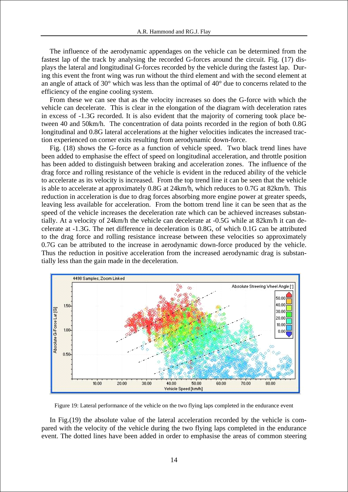The influence of the aerodynamic appendages on the vehicle can be determined from the fastest lap of the track by analysing the recorded G-forces around the circuit. Fig. (17) displays the lateral and longitudinal G-forces recorded by the vehicle during the fastest lap. During this event the front wing was run without the third element and with the second element at an angle of attack of 30° which was less than the optimal of 40° due to concerns related to the efficiency of the engine cooling system.

From these we can see that as the velocity increases so does the G-force with which the vehicle can decelerate. This is clear in the elongation of the diagram with deceleration rates in excess of -1.3G recorded. It is also evident that the majority of cornering took place between 40 and 50km/h. The concentration of data points recorded in the region of both 0.8G longitudinal and 0.8G lateral accelerations at the higher velocities indicates the increased traction experienced on corner exits resulting from aerodynamic down-force.

Fig. (18) shows the G-force as a function of vehicle speed. Two black trend lines have been added to emphasise the effect of speed on longitudinal acceleration, and throttle position has been added to distinguish between braking and acceleration zones. The influence of the drag force and rolling resistance of the vehicle is evident in the reduced ability of the vehicle to accelerate as its velocity is increased. From the top trend line it can be seen that the vehicle is able to accelerate at approximately 0.8G at 24km/h, which reduces to 0.7G at 82km/h. This reduction in acceleration is due to drag forces absorbing more engine power at greater speeds, leaving less available for acceleration. From the bottom trend line it can be seen that as the speed of the vehicle increases the deceleration rate which can be achieved increases substantially. At a velocity of 24km/h the vehicle can decelerate at -0.5G while at 82km/h it can decelerate at -1.3G. The net difference in deceleration is 0.8G, of which 0.1G can be attributed to the drag force and rolling resistance increase between these velocities so approximately 0.7G can be attributed to the increase in aerodynamic down-force produced by the vehicle. Thus the reduction in positive acceleration from the increased aerodynamic drag is substantially less than the gain made in the deceleration.



Figure 19: Lateral performance of the vehicle on the two flying laps completed in the endurance event

In Fig.(19) the absolute value of the lateral acceleration recorded by the vehicle is compared with the velocity of the vehicle during the two flying laps completed in the endurance event. The dotted lines have been added in order to emphasise the areas of common steering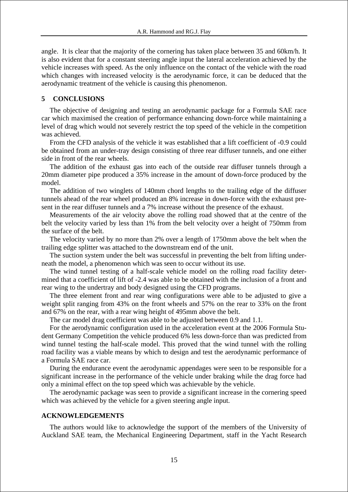angle. It is clear that the majority of the cornering has taken place between 35 and 60km/h. It is also evident that for a constant steering angle input the lateral acceleration achieved by the vehicle increases with speed. As the only influence on the contact of the vehicle with the road which changes with increased velocity is the aerodynamic force, it can be deduced that the aerodynamic treatment of the vehicle is causing this phenomenon.

#### **5 CONCLUSIONS**

The objective of designing and testing an aerodynamic package for a Formula SAE race car which maximised the creation of performance enhancing down-force while maintaining a level of drag which would not severely restrict the top speed of the vehicle in the competition was achieved.

From the CFD analysis of the vehicle it was established that a lift coefficient of -0.9 could be obtained from an under-tray design consisting of three rear diffuser tunnels, and one either side in front of the rear wheels.

The addition of the exhaust gas into each of the outside rear diffuser tunnels through a 20mm diameter pipe produced a 35% increase in the amount of down-force produced by the model.

The addition of two winglets of 140mm chord lengths to the trailing edge of the diffuser tunnels ahead of the rear wheel produced an 8% increase in down-force with the exhaust present in the rear diffuser tunnels and a 7% increase without the presence of the exhaust.

Measurements of the air velocity above the rolling road showed that at the centre of the belt the velocity varied by less than 1% from the belt velocity over a height of 750mm from the surface of the belt.

The velocity varied by no more than 2% over a length of 1750mm above the belt when the trailing edge splitter was attached to the downstream end of the unit.

The suction system under the belt was successful in preventing the belt from lifting underneath the model, a phenomenon which was seen to occur without its use.

The wind tunnel testing of a half-scale vehicle model on the rolling road facility determined that a coefficient of lift of -2.4 was able to be obtained with the inclusion of a front and rear wing to the undertray and body designed using the CFD programs.

The three element front and rear wing configurations were able to be adjusted to give a weight split ranging from 43% on the front wheels and 57% on the rear to 33% on the front and 67% on the rear, with a rear wing height of 495mm above the belt.

The car model drag coefficient was able to be adjusted between 0.9 and 1.1.

For the aerodynamic configuration used in the acceleration event at the 2006 Formula Student Germany Competition the vehicle produced 6% less down-force than was predicted from wind tunnel testing the half-scale model. This proved that the wind tunnel with the rolling road facility was a viable means by which to design and test the aerodynamic performance of a Formula SAE race car.

During the endurance event the aerodynamic appendages were seen to be responsible for a significant increase in the performance of the vehicle under braking while the drag force had only a minimal effect on the top speed which was achievable by the vehicle.

The aerodynamic package was seen to provide a significant increase in the cornering speed which was achieved by the vehicle for a given steering angle input.

#### **ACKNOWLEDGEMENTS**

The authors would like to acknowledge the support of the members of the University of Auckland SAE team, the Mechanical Engineering Department, staff in the Yacht Research